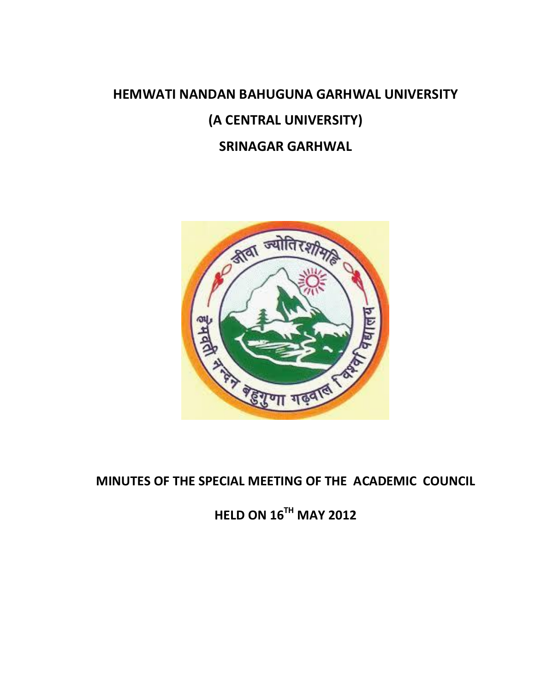# **HEMWATI NANDAN BAHUGUNA GARHWAL UNIVERSITY (A CENTRAL UNIVERSITY) SRINAGAR GARHWAL**



**MINUTES OF THE SPECIAL MEETING OF THE ACADEMIC COUNCIL**

**HELD ON 16TH MAY 2012**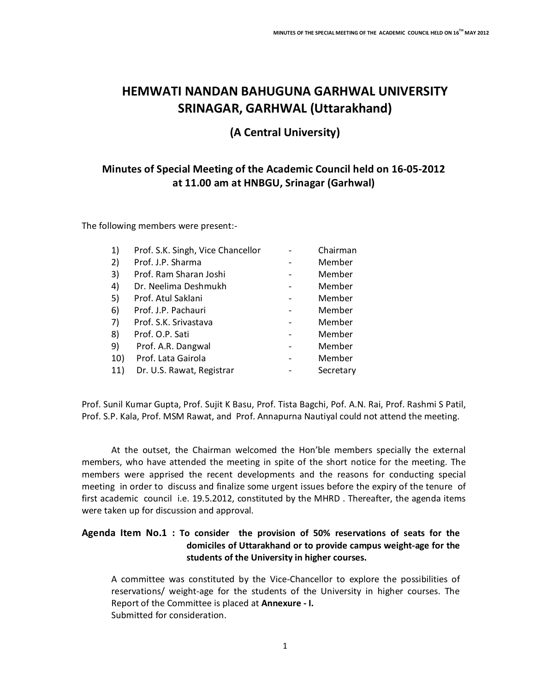# **HEMWATI NANDAN BAHUGUNA GARHWAL UNIVERSITY SRINAGAR, GARHWAL (Uttarakhand)**

## **(A Central University)**

### **Minutes of Special Meeting of the Academic Council held on 16-05-2012 at 11.00 am at HNBGU, Srinagar (Garhwal)**

The following members were present:-

| 1)  | Prof. S.K. Singh, Vice Chancellor | Chairman  |
|-----|-----------------------------------|-----------|
| 2)  | Prof. J.P. Sharma                 | Member    |
| 3)  | Prof. Ram Sharan Joshi            | Member    |
| 4)  | Dr. Neelima Deshmukh              | Member    |
| 5)  | Prof. Atul Saklani                | Member    |
| 6)  | Prof. J.P. Pachauri               | Member    |
| 7)  | Prof. S.K. Srivastava             | Member    |
| 8)  | Prof. O.P. Sati                   | Member    |
| 9)  | Prof. A.R. Dangwal                | Member    |
| 10) | Prof. Lata Gairola                | Member    |
| 11) | Dr. U.S. Rawat, Registrar         | Secretary |

Prof. Sunil Kumar Gupta, Prof. Sujit K Basu, Prof. Tista Bagchi, Pof. A.N. Rai, Prof. Rashmi S Patil, Prof. S.P. Kala, Prof. MSM Rawat, and Prof. Annapurna Nautiyal could not attend the meeting.

At the outset, the Chairman welcomed the Hon'ble members specially the external members, who have attended the meeting in spite of the short notice for the meeting. The members were apprised the recent developments and the reasons for conducting special meeting in order to discuss and finalize some urgent issues before the expiry of the tenure of first academic council i.e. 19.5.2012, constituted by the MHRD . Thereafter, the agenda items were taken up for discussion and approval.

#### **Agenda Item No.1 : To consider the provision of 50% reservations of seats for the domiciles of Uttarakhand or to provide campus weight-age for the students of the University in higher courses.**

A committee was constituted by the Vice-Chancellor to explore the possibilities of reservations/ weight-age for the students of the University in higher courses. The Report of the Committee is placed at **Annexure - I.**  Submitted for consideration.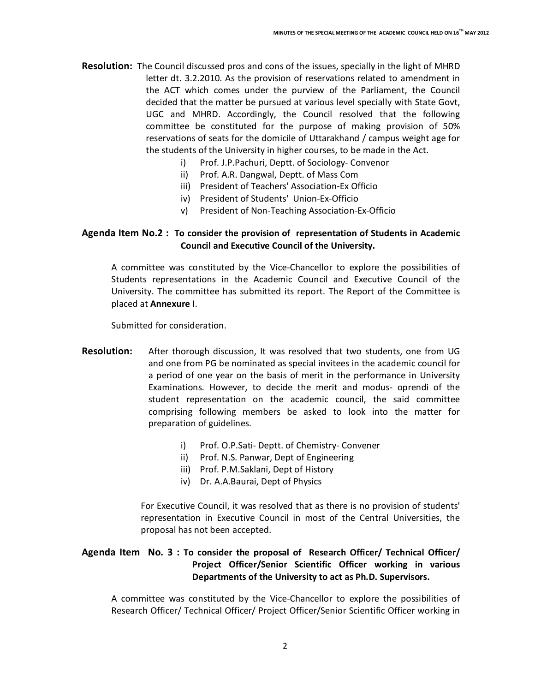- **Resolution:** The Council discussed pros and cons of the issues, specially in the light of MHRD letter dt. 3.2.2010. As the provision of reservations related to amendment in the ACT which comes under the purview of the Parliament, the Council decided that the matter be pursued at various level specially with State Govt, UGC and MHRD. Accordingly, the Council resolved that the following committee be constituted for the purpose of making provision of 50% reservations of seats for the domicile of Uttarakhand / campus weight age for the students of the University in higher courses, to be made in the Act.
	- i) Prof. J.P.Pachuri, Deptt. of Sociology- Convenor
	- ii) Prof. A.R. Dangwal, Deptt. of Mass Com
	- iii) President of Teachers' Association-Ex Officio
	- iv) President of Students' Union-Ex-Officio
	- v) President of Non-Teaching Association-Ex-Officio

#### **Agenda Item No.2 : To consider the provision of representation of Students in Academic Council and Executive Council of the University.**

A committee was constituted by the Vice-Chancellor to explore the possibilities of Students representations in the Academic Council and Executive Council of the University. The committee has submitted its report. The Report of the Committee is placed at **Annexure I**.

Submitted for consideration.

- **Resolution:** After thorough discussion, It was resolved that two students, one from UG and one from PG be nominated as special invitees in the academic council for a period of one year on the basis of merit in the performance in University Examinations. However, to decide the merit and modus- oprendi of the student representation on the academic council, the said committee comprising following members be asked to look into the matter for preparation of guidelines.
	- i) Prof. O.P.Sati- Deptt. of Chemistry- Convener
	- ii) Prof. N.S. Panwar, Dept of Engineering
	- iii) Prof. P.M.Saklani, Dept of History
	- iv) Dr. A.A.Baurai, Dept of Physics

For Executive Council, it was resolved that as there is no provision of students' representation in Executive Council in most of the Central Universities, the proposal has not been accepted.

#### **Agenda Item No. 3 : To consider the proposal of Research Officer/ Technical Officer/ Project Officer/Senior Scientific Officer working in various Departments of the University to act as Ph.D. Supervisors.**

A committee was constituted by the Vice-Chancellor to explore the possibilities of Research Officer/ Technical Officer/ Project Officer/Senior Scientific Officer working in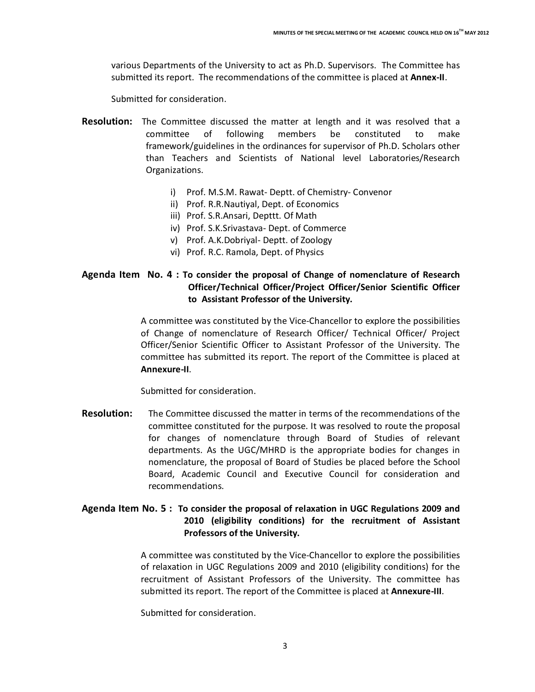various Departments of the University to act as Ph.D. Supervisors. The Committee has submitted its report. The recommendations of the committee is placed at **Annex-II**.

Submitted for consideration.

- **Resolution:** The Committee discussed the matter at length and it was resolved that a committee of following members be constituted to make framework/guidelines in the ordinances for supervisor of Ph.D. Scholars other than Teachers and Scientists of National level Laboratories/Research Organizations.
	- i) Prof. M.S.M. Rawat- Deptt. of Chemistry- Convenor
	- ii) Prof. R.R.Nautiyal, Dept. of Economics
	- iii) Prof. S.R.Ansari, Depttt. Of Math
	- iv) Prof. S.K.Srivastava- Dept. of Commerce
	- v) Prof. A.K.Dobriyal- Deptt. of Zoology
	- vi) Prof. R.C. Ramola, Dept. of Physics

#### **Agenda Item No. 4 : To consider the proposal of Change of nomenclature of Research Officer/Technical Officer/Project Officer/Senior Scientific Officer to Assistant Professor of the University.**

A committee was constituted by the Vice-Chancellor to explore the possibilities of Change of nomenclature of Research Officer/ Technical Officer/ Project Officer/Senior Scientific Officer to Assistant Professor of the University. The committee has submitted its report. The report of the Committee is placed at **Annexure-II**.

Submitted for consideration.

**Resolution:** The Committee discussed the matter in terms of the recommendations of the committee constituted for the purpose. It was resolved to route the proposal for changes of nomenclature through Board of Studies of relevant departments. As the UGC/MHRD is the appropriate bodies for changes in nomenclature, the proposal of Board of Studies be placed before the School Board, Academic Council and Executive Council for consideration and recommendations.

#### **Agenda Item No. 5 : To consider the proposal of relaxation in UGC Regulations 2009 and 2010 (eligibility conditions) for the recruitment of Assistant Professors of the University.**

A committee was constituted by the Vice-Chancellor to explore the possibilities of relaxation in UGC Regulations 2009 and 2010 (eligibility conditions) for the recruitment of Assistant Professors of the University. The committee has submitted its report. The report of the Committee is placed at **Annexure-III**.

Submitted for consideration.